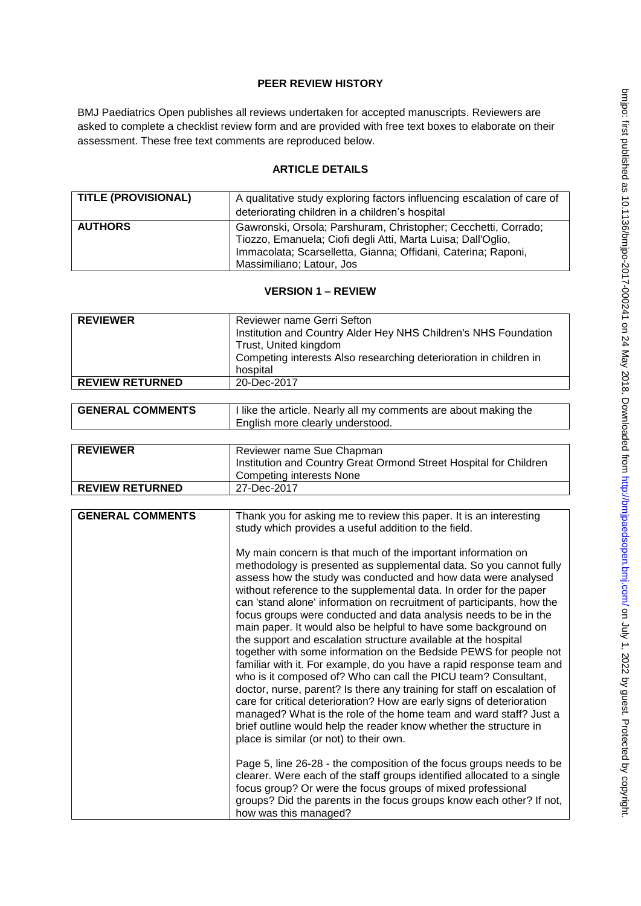## **PEER REVIEW HISTORY**

BMJ Paediatrics Open publishes all reviews undertaken for accepted manuscripts. Reviewers are asked to complete a checklist review form and are provided with free text boxes to elaborate on their assessment. These free text comments are reproduced below.

## **ARTICLE DETAILS**

| <b>TITLE (PROVISIONAL)</b> | A qualitative study exploring factors influencing escalation of care of                                                                                                                                                      |
|----------------------------|------------------------------------------------------------------------------------------------------------------------------------------------------------------------------------------------------------------------------|
|                            | deteriorating children in a children's hospital                                                                                                                                                                              |
| <b>AUTHORS</b>             | Gawronski, Orsola; Parshuram, Christopher; Cecchetti, Corrado;<br>Tiozzo, Emanuela; Ciofi degli Atti, Marta Luisa; Dall'Oglio,<br>Immacolata; Scarselletta, Gianna; Offidani, Caterina; Raponi,<br>Massimiliano; Latour, Jos |

# **VERSION 1 – REVIEW**

| <b>REVIEWER</b>         | Reviewer name Gerri Sefton<br>Institution and Country Alder Hey NHS Children's NHS Foundation<br>Trust, United kingdom<br>Competing interests Also researching deterioration in children in<br>hospital                                                                                                                                                                                                                                                                                                                                                                                                                                                                                                                                                                                                                                                                                                                                                                                                                                                                                                                                                                                                                                                                                                                                                                                                                                                                                                                                                              |
|-------------------------|----------------------------------------------------------------------------------------------------------------------------------------------------------------------------------------------------------------------------------------------------------------------------------------------------------------------------------------------------------------------------------------------------------------------------------------------------------------------------------------------------------------------------------------------------------------------------------------------------------------------------------------------------------------------------------------------------------------------------------------------------------------------------------------------------------------------------------------------------------------------------------------------------------------------------------------------------------------------------------------------------------------------------------------------------------------------------------------------------------------------------------------------------------------------------------------------------------------------------------------------------------------------------------------------------------------------------------------------------------------------------------------------------------------------------------------------------------------------------------------------------------------------------------------------------------------------|
| <b>REVIEW RETURNED</b>  | 20-Dec-2017                                                                                                                                                                                                                                                                                                                                                                                                                                                                                                                                                                                                                                                                                                                                                                                                                                                                                                                                                                                                                                                                                                                                                                                                                                                                                                                                                                                                                                                                                                                                                          |
|                         |                                                                                                                                                                                                                                                                                                                                                                                                                                                                                                                                                                                                                                                                                                                                                                                                                                                                                                                                                                                                                                                                                                                                                                                                                                                                                                                                                                                                                                                                                                                                                                      |
| <b>GENERAL COMMENTS</b> | I like the article. Nearly all my comments are about making the<br>English more clearly understood.                                                                                                                                                                                                                                                                                                                                                                                                                                                                                                                                                                                                                                                                                                                                                                                                                                                                                                                                                                                                                                                                                                                                                                                                                                                                                                                                                                                                                                                                  |
|                         |                                                                                                                                                                                                                                                                                                                                                                                                                                                                                                                                                                                                                                                                                                                                                                                                                                                                                                                                                                                                                                                                                                                                                                                                                                                                                                                                                                                                                                                                                                                                                                      |
| <b>REVIEWER</b>         | Reviewer name Sue Chapman<br>Institution and Country Great Ormond Street Hospital for Children<br><b>Competing interests None</b>                                                                                                                                                                                                                                                                                                                                                                                                                                                                                                                                                                                                                                                                                                                                                                                                                                                                                                                                                                                                                                                                                                                                                                                                                                                                                                                                                                                                                                    |
| <b>REVIEW RETURNED</b>  | 27-Dec-2017                                                                                                                                                                                                                                                                                                                                                                                                                                                                                                                                                                                                                                                                                                                                                                                                                                                                                                                                                                                                                                                                                                                                                                                                                                                                                                                                                                                                                                                                                                                                                          |
|                         |                                                                                                                                                                                                                                                                                                                                                                                                                                                                                                                                                                                                                                                                                                                                                                                                                                                                                                                                                                                                                                                                                                                                                                                                                                                                                                                                                                                                                                                                                                                                                                      |
| <b>GENERAL COMMENTS</b> | Thank you for asking me to review this paper. It is an interesting<br>study which provides a useful addition to the field.<br>My main concern is that much of the important information on<br>methodology is presented as supplemental data. So you cannot fully<br>assess how the study was conducted and how data were analysed<br>without reference to the supplemental data. In order for the paper<br>can 'stand alone' information on recruitment of participants, how the<br>focus groups were conducted and data analysis needs to be in the<br>main paper. It would also be helpful to have some background on<br>the support and escalation structure available at the hospital<br>together with some information on the Bedside PEWS for people not<br>familiar with it. For example, do you have a rapid response team and<br>who is it composed of? Who can call the PICU team? Consultant,<br>doctor, nurse, parent? Is there any training for staff on escalation of<br>care for critical deterioration? How are early signs of deterioration<br>managed? What is the role of the home team and ward staff? Just a<br>brief outline would help the reader know whether the structure in<br>place is similar (or not) to their own.<br>Page 5, line 26-28 - the composition of the focus groups needs to be<br>clearer. Were each of the staff groups identified allocated to a single<br>focus group? Or were the focus groups of mixed professional<br>groups? Did the parents in the focus groups know each other? If not,<br>how was this managed? |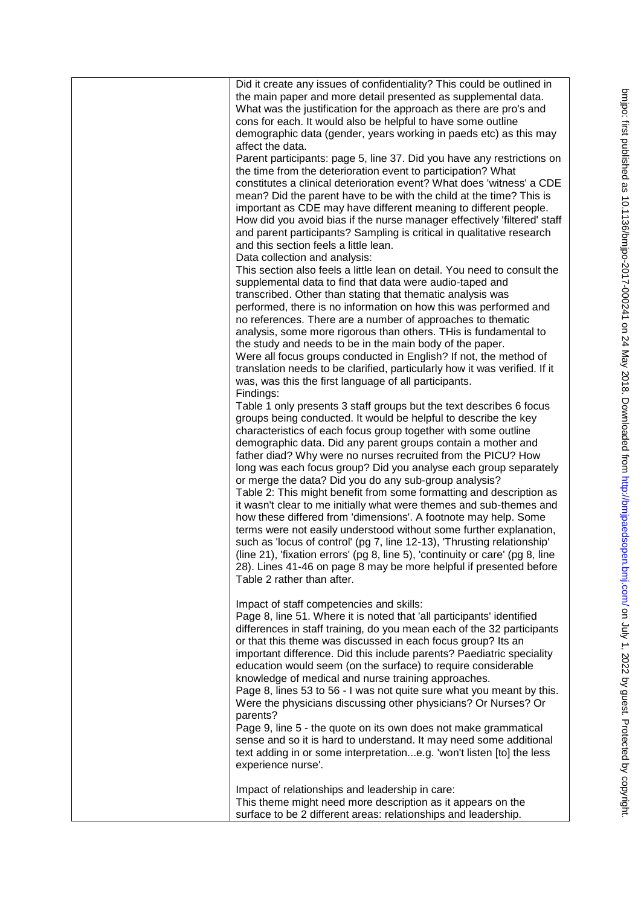| Did it create any issues of confidentiality? This could be outlined in                                                          |
|---------------------------------------------------------------------------------------------------------------------------------|
| the main paper and more detail presented as supplemental data.                                                                  |
| What was the justification for the approach as there are pro's and                                                              |
| cons for each. It would also be helpful to have some outline                                                                    |
| demographic data (gender, years working in paeds etc) as this may                                                               |
| affect the data.                                                                                                                |
| Parent participants: page 5, line 37. Did you have any restrictions on                                                          |
| the time from the deterioration event to participation? What                                                                    |
| constitutes a clinical deterioration event? What does 'witness' a CDE                                                           |
| mean? Did the parent have to be with the child at the time? This is                                                             |
| important as CDE may have different meaning to different people.                                                                |
| How did you avoid bias if the nurse manager effectively 'filtered' staff                                                        |
| and parent participants? Sampling is critical in qualitative research                                                           |
| and this section feels a little lean.                                                                                           |
| Data collection and analysis:                                                                                                   |
| This section also feels a little lean on detail. You need to consult the                                                        |
| supplemental data to find that data were audio-taped and                                                                        |
| transcribed. Other than stating that thematic analysis was                                                                      |
| performed, there is no information on how this was performed and<br>no references. There are a number of approaches to thematic |
| analysis, some more rigorous than others. THis is fundamental to                                                                |
| the study and needs to be in the main body of the paper.                                                                        |
| Were all focus groups conducted in English? If not, the method of                                                               |
| translation needs to be clarified, particularly how it was verified. If it                                                      |
| was, was this the first language of all participants.                                                                           |
| Findings:                                                                                                                       |
| Table 1 only presents 3 staff groups but the text describes 6 focus                                                             |
| groups being conducted. It would be helpful to describe the key                                                                 |
| characteristics of each focus group together with some outline                                                                  |
| demographic data. Did any parent groups contain a mother and                                                                    |
| father diad? Why were no nurses recruited from the PICU? How                                                                    |
| long was each focus group? Did you analyse each group separately                                                                |
| or merge the data? Did you do any sub-group analysis?                                                                           |
| Table 2: This might benefit from some formatting and description as                                                             |
| it wasn't clear to me initially what were themes and sub-themes and                                                             |
| how these differed from 'dimensions'. A footnote may help. Some                                                                 |
| terms were not easily understood without some further explanation,                                                              |
| such as 'locus of control' (pg 7, line 12-13), 'Thrusting relationship'                                                         |
| (line 21), 'fixation errors' (pg 8, line 5), 'continuity or care' (pg 8, line                                                   |
| 28). Lines 41-46 on page 8 may be more helpful if presented before                                                              |
| Table 2 rather than after.                                                                                                      |
| Impact of staff competencies and skills:                                                                                        |
| Page 8, line 51. Where it is noted that 'all participants' identified                                                           |
| differences in staff training, do you mean each of the 32 participants                                                          |
| or that this theme was discussed in each focus group? Its an                                                                    |
| important difference. Did this include parents? Paediatric speciality                                                           |
| education would seem (on the surface) to require considerable                                                                   |
| knowledge of medical and nurse training approaches.                                                                             |
| Page 8, lines 53 to 56 - I was not quite sure what you meant by this.                                                           |
| Were the physicians discussing other physicians? Or Nurses? Or                                                                  |
| parents?                                                                                                                        |
| Page 9, line 5 - the quote on its own does not make grammatical                                                                 |
| sense and so it is hard to understand. It may need some additional                                                              |
| text adding in or some interpretatione.g. 'won't listen [to] the less                                                           |
| experience nurse'.                                                                                                              |
|                                                                                                                                 |
| Impact of relationships and leadership in care:                                                                                 |
| This theme might need more description as it appears on the                                                                     |
| surface to be 2 different areas: relationships and leadership.                                                                  |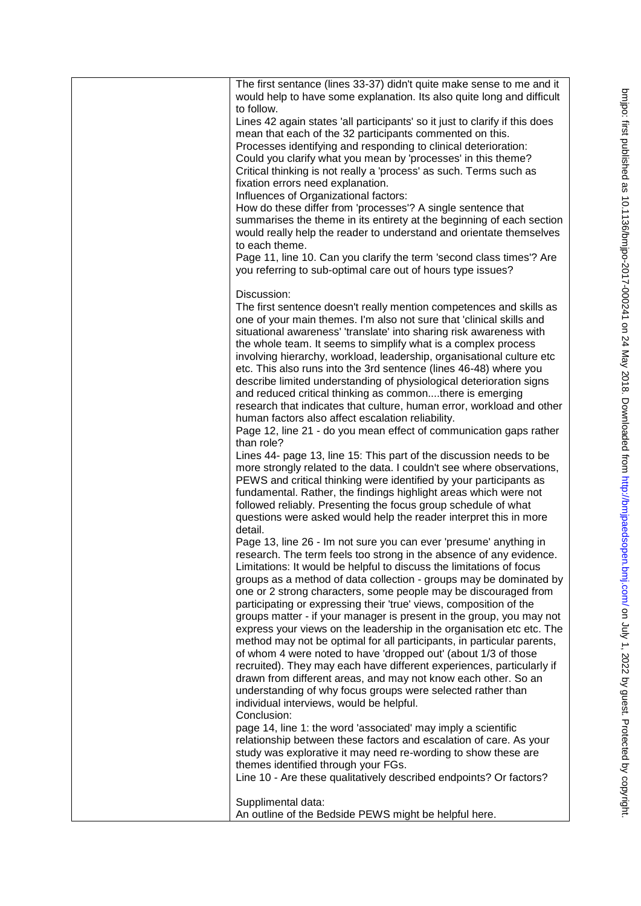| The first sentance (lines 33-37) didn't quite make sense to me and it                                                                    |
|------------------------------------------------------------------------------------------------------------------------------------------|
| would help to have some explanation. Its also quite long and difficult                                                                   |
| to follow.                                                                                                                               |
| Lines 42 again states 'all participants' so it just to clarify if this does                                                              |
| mean that each of the 32 participants commented on this.<br>Processes identifying and responding to clinical deterioration:              |
| Could you clarify what you mean by 'processes' in this theme?                                                                            |
| Critical thinking is not really a 'process' as such. Terms such as                                                                       |
| fixation errors need explanation.                                                                                                        |
| Influences of Organizational factors:                                                                                                    |
| How do these differ from 'processes'? A single sentence that                                                                             |
| summarises the theme in its entirety at the beginning of each section                                                                    |
| would really help the reader to understand and orientate themselves<br>to each theme.                                                    |
| Page 11, line 10. Can you clarify the term 'second class times'? Are                                                                     |
| you referring to sub-optimal care out of hours type issues?                                                                              |
|                                                                                                                                          |
| Discussion:                                                                                                                              |
| The first sentence doesn't really mention competences and skills as                                                                      |
| one of your main themes. I'm also not sure that 'clinical skills and                                                                     |
| situational awareness' 'translate' into sharing risk awareness with<br>the whole team. It seems to simplify what is a complex process    |
| involving hierarchy, workload, leadership, organisational culture etc                                                                    |
| etc. This also runs into the 3rd sentence (lines 46-48) where you                                                                        |
| describe limited understanding of physiological deterioration signs                                                                      |
| and reduced critical thinking as commonthere is emerging                                                                                 |
| research that indicates that culture, human error, workload and other                                                                    |
| human factors also affect escalation reliability.                                                                                        |
| Page 12, line 21 - do you mean effect of communication gaps rather                                                                       |
| than role?<br>Lines 44- page 13, line 15: This part of the discussion needs to be                                                        |
| more strongly related to the data. I couldn't see where observations,                                                                    |
| PEWS and critical thinking were identified by your participants as                                                                       |
| fundamental. Rather, the findings highlight areas which were not                                                                         |
| followed reliably. Presenting the focus group schedule of what                                                                           |
| questions were asked would help the reader interpret this in more                                                                        |
| detail.                                                                                                                                  |
| Page 13, line 26 - Im not sure you can ever 'presume' anything in<br>research. The term feels too strong in the absence of any evidence. |
| Limitations: It would be helpful to discuss the limitations of focus                                                                     |
| groups as a method of data collection - groups may be dominated by                                                                       |
| one or 2 strong characters, some people may be discouraged from                                                                          |
| participating or expressing their 'true' views, composition of the                                                                       |
| groups matter - if your manager is present in the group, you may not                                                                     |
| express your views on the leadership in the organisation etc etc. The                                                                    |
| method may not be optimal for all participants, in particular parents,                                                                   |
| of whom 4 were noted to have 'dropped out' (about 1/3 of those<br>recruited). They may each have different experiences, particularly if  |
| drawn from different areas, and may not know each other. So an                                                                           |
| understanding of why focus groups were selected rather than                                                                              |
| individual interviews, would be helpful.                                                                                                 |
| Conclusion:                                                                                                                              |
| page 14, line 1: the word 'associated' may imply a scientific                                                                            |
| relationship between these factors and escalation of care. As your                                                                       |
| study was explorative it may need re-wording to show these are                                                                           |
| themes identified through your FGs.                                                                                                      |
| Line 10 - Are these qualitatively described endpoints? Or factors?                                                                       |
| Supplimental data:                                                                                                                       |
| An outline of the Bedside PEWS might be helpful here.                                                                                    |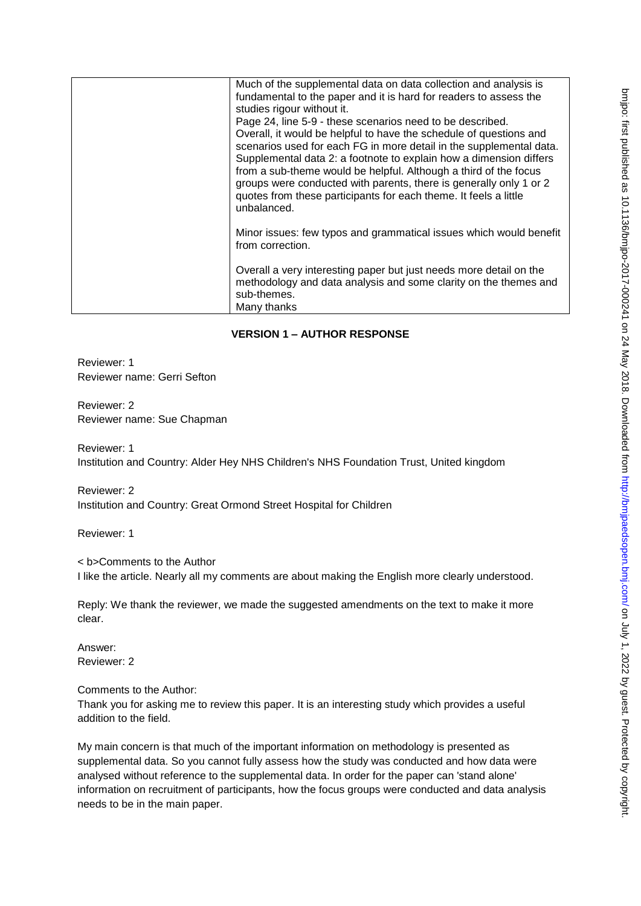| Much of the supplemental data on data collection and analysis is<br>fundamental to the paper and it is hard for readers to assess the<br>studies rigour without it.<br>Page 24, line 5-9 - these scenarios need to be described.<br>Overall, it would be helpful to have the schedule of questions and<br>scenarios used for each FG in more detail in the supplemental data.<br>Supplemental data 2: a footnote to explain how a dimension differs<br>from a sub-theme would be helpful. Although a third of the focus<br>groups were conducted with parents, there is generally only 1 or 2<br>quotes from these participants for each theme. It feels a little<br>unbalanced. |
|----------------------------------------------------------------------------------------------------------------------------------------------------------------------------------------------------------------------------------------------------------------------------------------------------------------------------------------------------------------------------------------------------------------------------------------------------------------------------------------------------------------------------------------------------------------------------------------------------------------------------------------------------------------------------------|
| Minor issues: few typos and grammatical issues which would benefit<br>from correction.                                                                                                                                                                                                                                                                                                                                                                                                                                                                                                                                                                                           |
| Overall a very interesting paper but just needs more detail on the<br>methodology and data analysis and some clarity on the themes and<br>sub-themes.<br>Many thanks                                                                                                                                                                                                                                                                                                                                                                                                                                                                                                             |

# **VERSION 1 – AUTHOR RESPONSE**

Reviewer: 1 Reviewer name: Gerri Sefton

Reviewer: 2 Reviewer name: Sue Chapman

Reviewer: 1 Institution and Country: Alder Hey NHS Children's NHS Foundation Trust, United kingdom

Reviewer: 2 Institution and Country: Great Ormond Street Hospital for Children

Reviewer: 1

< b>Comments to the Author I like the article. Nearly all my comments are about making the English more clearly understood.

Reply: We thank the reviewer, we made the suggested amendments on the text to make it more clear.

Answer: Reviewer: 2

Comments to the Author:

Thank you for asking me to review this paper. It is an interesting study which provides a useful addition to the field.

My main concern is that much of the important information on methodology is presented as supplemental data. So you cannot fully assess how the study was conducted and how data were analysed without reference to the supplemental data. In order for the paper can 'stand alone' information on recruitment of participants, how the focus groups were conducted and data analysis needs to be in the main paper.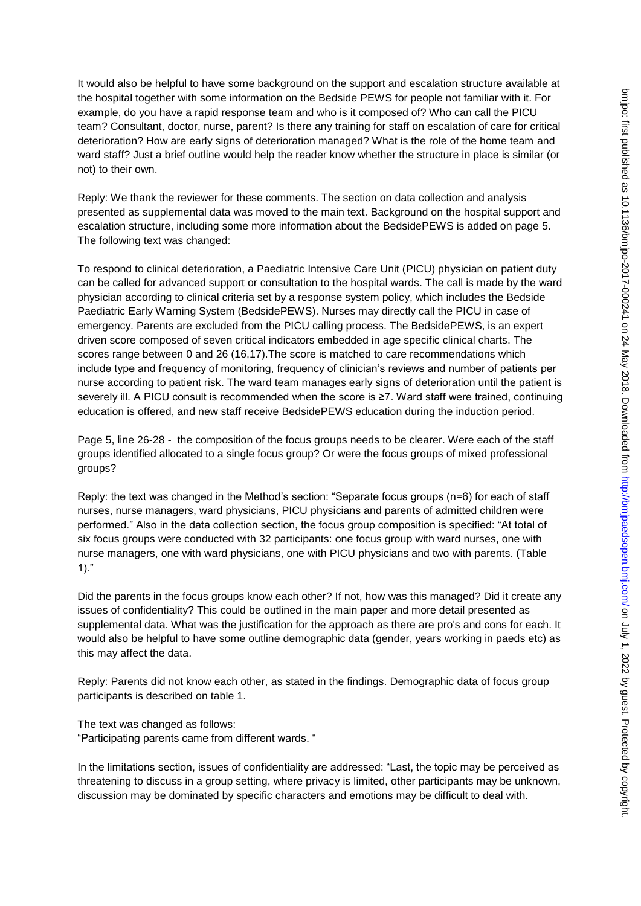It would also be helpful to have some background on the support and escalation structure available at the hospital together with some information on the Bedside PEWS for people not familiar with it. For example, do you have a rapid response team and who is it composed of? Who can call the PICU team? Consultant, doctor, nurse, parent? Is there any training for staff on escalation of care for critical deterioration? How are early signs of deterioration managed? What is the role of the home team and ward staff? Just a brief outline would help the reader know whether the structure in place is similar (or not) to their own.

Reply: We thank the reviewer for these comments. The section on data collection and analysis presented as supplemental data was moved to the main text. Background on the hospital support and escalation structure, including some more information about the BedsidePEWS is added on page 5. The following text was changed:

To respond to clinical deterioration, a Paediatric Intensive Care Unit (PICU) physician on patient duty can be called for advanced support or consultation to the hospital wards. The call is made by the ward physician according to clinical criteria set by a response system policy, which includes the Bedside Paediatric Early Warning System (BedsidePEWS). Nurses may directly call the PICU in case of emergency. Parents are excluded from the PICU calling process. The BedsidePEWS, is an expert driven score composed of seven critical indicators embedded in age specific clinical charts. The scores range between 0 and 26 (16,17).The score is matched to care recommendations which include type and frequency of monitoring, frequency of clinician's reviews and number of patients per nurse according to patient risk. The ward team manages early signs of deterioration until the patient is severely ill. A PICU consult is recommended when the score is ≥7. Ward staff were trained, continuing education is offered, and new staff receive BedsidePEWS education during the induction period.

Page 5, line 26-28 - the composition of the focus groups needs to be clearer. Were each of the staff groups identified allocated to a single focus group? Or were the focus groups of mixed professional groups?

Reply: the text was changed in the Method's section: "Separate focus groups (n=6) for each of staff nurses, nurse managers, ward physicians, PICU physicians and parents of admitted children were performed." Also in the data collection section, the focus group composition is specified: "At total of six focus groups were conducted with 32 participants: one focus group with ward nurses, one with nurse managers, one with ward physicians, one with PICU physicians and two with parents. (Table 1)."

Did the parents in the focus groups know each other? If not, how was this managed? Did it create any issues of confidentiality? This could be outlined in the main paper and more detail presented as supplemental data. What was the justification for the approach as there are pro's and cons for each. It would also be helpful to have some outline demographic data (gender, years working in paeds etc) as this may affect the data.

Reply: Parents did not know each other, as stated in the findings. Demographic data of focus group participants is described on table 1.

The text was changed as follows: "Participating parents came from different wards. "

In the limitations section, issues of confidentiality are addressed: "Last, the topic may be perceived as threatening to discuss in a group setting, where privacy is limited, other participants may be unknown, discussion may be dominated by specific characters and emotions may be difficult to deal with.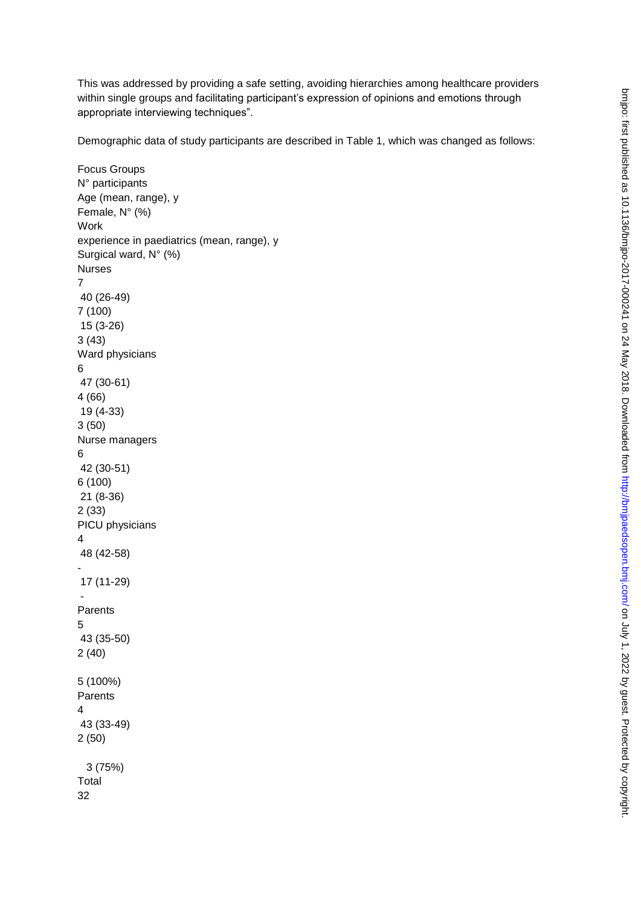This was addressed by providing a safe setting, avoiding hierarchies among healthcare providers within single groups and facilitating participant's expression of opinions and emotions through appropriate interviewing techniques".

Demographic data of study participants are described in Table 1, which was changed as follows:

```
Focus Groups 
N° participants 
Age (mean, range), y 
Female, N° (%) 
Work 
experience in paediatrics (mean, range), y 
Surgical ward, N° (%) 
Nurses 
7 
 40 (26-49) 
7 (100) 
 15 (3-26) 
3 (43) 
Ward physicians 
6 
 47 (30-61) 
4 (66) 
 19 (4-33) 
3 (50) 
Nurse managers 
6 
 42 (30-51) 
6 (100) 
 21 (8-36) 
2 (33) 
PICU physicians 
4 
 48 (42-58) 
- 
 17 (11-29) 
 - 
Parents 
5 
 43 (35-50) 
2 (40) 
5 (100%) 
Parents 
4 
 43 (33-49) 
2 (50) 
   3 (75%) 
Total 
32
```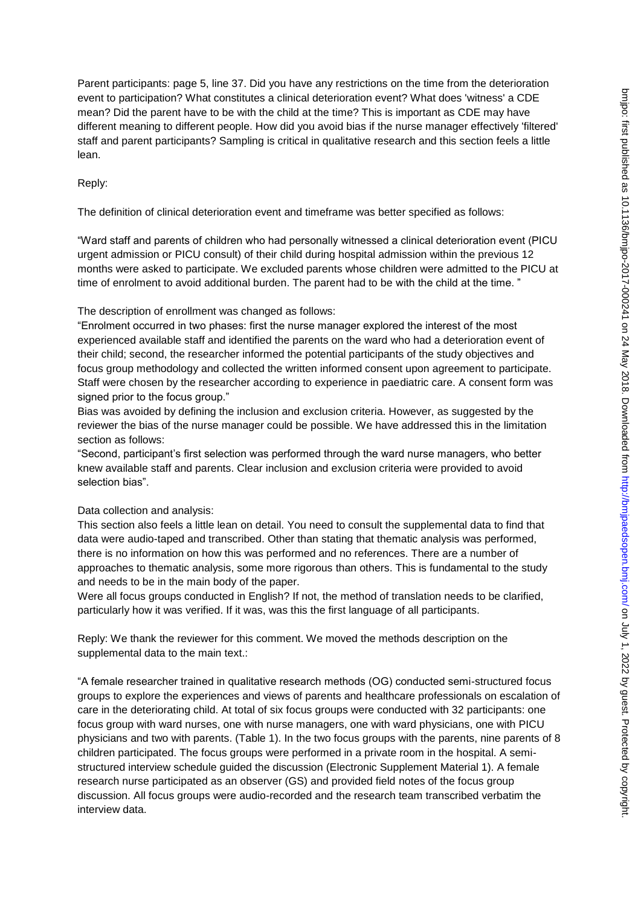Parent participants: page 5, line 37. Did you have any restrictions on the time from the deterioration event to participation? What constitutes a clinical deterioration event? What does 'witness' a CDE mean? Did the parent have to be with the child at the time? This is important as CDE may have different meaning to different people. How did you avoid bias if the nurse manager effectively 'filtered' staff and parent participants? Sampling is critical in qualitative research and this section feels a little lean.

## Reply:

The definition of clinical deterioration event and timeframe was better specified as follows:

"Ward staff and parents of children who had personally witnessed a clinical deterioration event (PICU urgent admission or PICU consult) of their child during hospital admission within the previous 12 months were asked to participate. We excluded parents whose children were admitted to the PICU at time of enrolment to avoid additional burden. The parent had to be with the child at the time."

The description of enrollment was changed as follows:

"Enrolment occurred in two phases: first the nurse manager explored the interest of the most experienced available staff and identified the parents on the ward who had a deterioration event of their child; second, the researcher informed the potential participants of the study objectives and focus group methodology and collected the written informed consent upon agreement to participate. Staff were chosen by the researcher according to experience in paediatric care. A consent form was signed prior to the focus group."

Bias was avoided by defining the inclusion and exclusion criteria. However, as suggested by the reviewer the bias of the nurse manager could be possible. We have addressed this in the limitation section as follows:

"Second, participant's first selection was performed through the ward nurse managers, who better knew available staff and parents. Clear inclusion and exclusion criteria were provided to avoid selection bias".

## Data collection and analysis:

This section also feels a little lean on detail. You need to consult the supplemental data to find that data were audio-taped and transcribed. Other than stating that thematic analysis was performed, there is no information on how this was performed and no references. There are a number of approaches to thematic analysis, some more rigorous than others. This is fundamental to the study and needs to be in the main body of the paper.

Were all focus groups conducted in English? If not, the method of translation needs to be clarified, particularly how it was verified. If it was, was this the first language of all participants.

Reply: We thank the reviewer for this comment. We moved the methods description on the supplemental data to the main text.:

"A female researcher trained in qualitative research methods (OG) conducted semi-structured focus groups to explore the experiences and views of parents and healthcare professionals on escalation of care in the deteriorating child. At total of six focus groups were conducted with 32 participants: one focus group with ward nurses, one with nurse managers, one with ward physicians, one with PICU physicians and two with parents. (Table 1). In the two focus groups with the parents, nine parents of 8 children participated. The focus groups were performed in a private room in the hospital. A semistructured interview schedule guided the discussion (Electronic Supplement Material 1). A female research nurse participated as an observer (GS) and provided field notes of the focus group discussion. All focus groups were audio-recorded and the research team transcribed verbatim the interview data.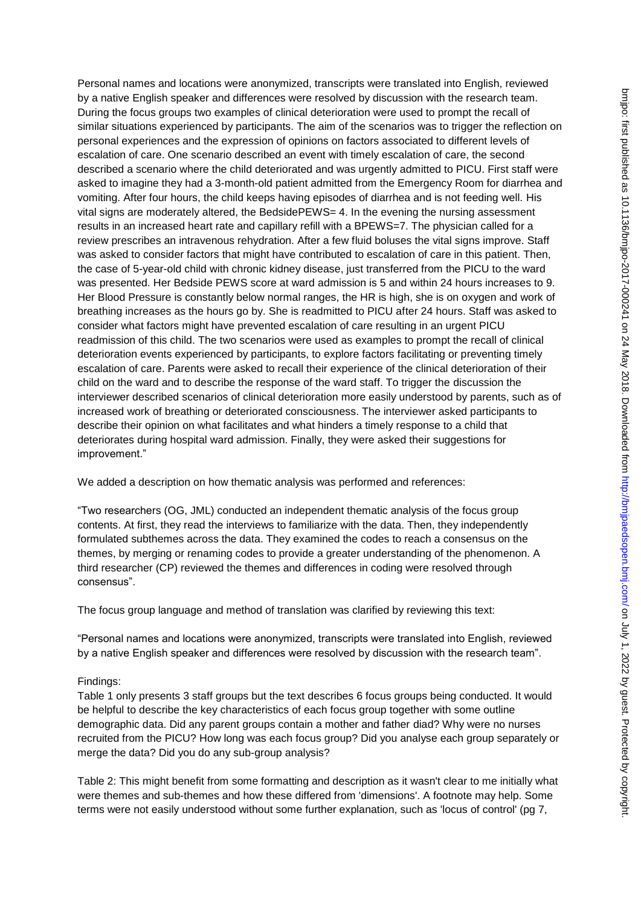Personal names and locations were anonymized, transcripts were translated into English, reviewed by a native English speaker and differences were resolved by discussion with the research team. During the focus groups two examples of clinical deterioration were used to prompt the recall of similar situations experienced by participants. The aim of the scenarios was to trigger the reflection on personal experiences and the expression of opinions on factors associated to different levels of escalation of care. One scenario described an event with timely escalation of care, the second described a scenario where the child deteriorated and was urgently admitted to PICU. First staff were asked to imagine they had a 3-month-old patient admitted from the Emergency Room for diarrhea and vomiting. After four hours, the child keeps having episodes of diarrhea and is not feeding well. His vital signs are moderately altered, the BedsidePEWS= 4. In the evening the nursing assessment results in an increased heart rate and capillary refill with a BPEWS=7. The physician called for a review prescribes an intravenous rehydration. After a few fluid boluses the vital signs improve. Staff was asked to consider factors that might have contributed to escalation of care in this patient. Then, the case of 5-year-old child with chronic kidney disease, just transferred from the PICU to the ward was presented. Her Bedside PEWS score at ward admission is 5 and within 24 hours increases to 9. Her Blood Pressure is constantly below normal ranges, the HR is high, she is on oxygen and work of breathing increases as the hours go by. She is readmitted to PICU after 24 hours. Staff was asked to consider what factors might have prevented escalation of care resulting in an urgent PICU readmission of this child. The two scenarios were used as examples to prompt the recall of clinical deterioration events experienced by participants, to explore factors facilitating or preventing timely escalation of care. Parents were asked to recall their experience of the clinical deterioration of their child on the ward and to describe the response of the ward staff. To trigger the discussion the interviewer described scenarios of clinical deterioration more easily understood by parents, such as of increased work of breathing or deteriorated consciousness. The interviewer asked participants to describe their opinion on what facilitates and what hinders a timely response to a child that deteriorates during hospital ward admission. Finally, they were asked their suggestions for improvement."

We added a description on how thematic analysis was performed and references:

"Two researchers (OG, JML) conducted an independent thematic analysis of the focus group contents. At first, they read the interviews to familiarize with the data. Then, they independently formulated subthemes across the data. They examined the codes to reach a consensus on the themes, by merging or renaming codes to provide a greater understanding of the phenomenon. A third researcher (CP) reviewed the themes and differences in coding were resolved through consensus".

The focus group language and method of translation was clarified by reviewing this text:

"Personal names and locations were anonymized, transcripts were translated into English, reviewed by a native English speaker and differences were resolved by discussion with the research team".

## Findings:

Table 1 only presents 3 staff groups but the text describes 6 focus groups being conducted. It would be helpful to describe the key characteristics of each focus group together with some outline demographic data. Did any parent groups contain a mother and father diad? Why were no nurses recruited from the PICU? How long was each focus group? Did you analyse each group separately or merge the data? Did you do any sub-group analysis?

Table 2: This might benefit from some formatting and description as it wasn't clear to me initially what were themes and sub-themes and how these differed from 'dimensions'. A footnote may help. Some terms were not easily understood without some further explanation, such as 'locus of control' (pg 7,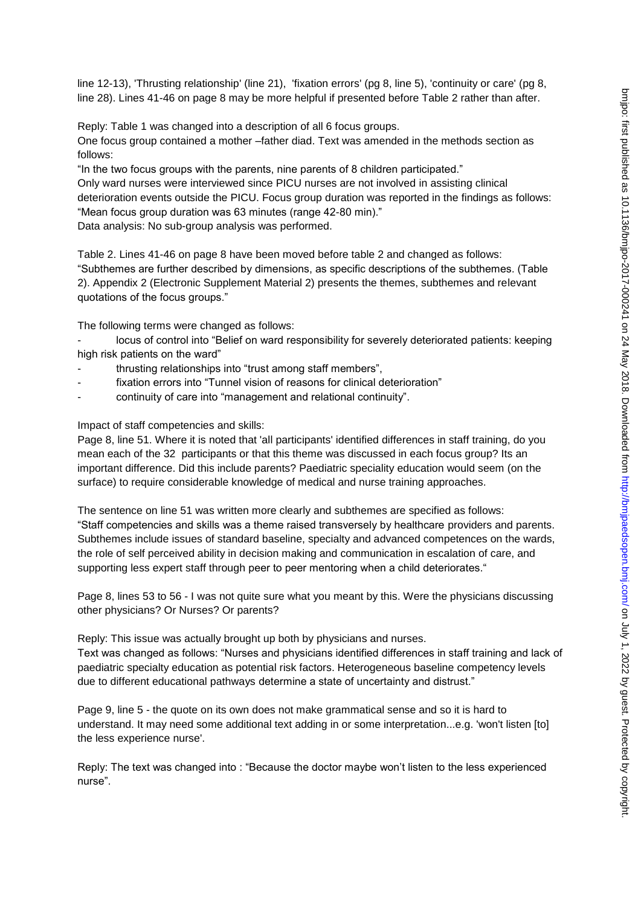line 12-13), 'Thrusting relationship' (line 21), 'fixation errors' (pg 8, line 5), 'continuity or care' (pg 8, line 28). Lines 41-46 on page 8 may be more helpful if presented before Table 2 rather than after.

Reply: Table 1 was changed into a description of all 6 focus groups.

One focus group contained a mother –father diad. Text was amended in the methods section as follows:

"In the two focus groups with the parents, nine parents of 8 children participated."

Only ward nurses were interviewed since PICU nurses are not involved in assisting clinical deterioration events outside the PICU. Focus group duration was reported in the findings as follows: "Mean focus group duration was 63 minutes (range 42-80 min)." Data analysis: No sub-group analysis was performed.

Table 2. Lines 41-46 on page 8 have been moved before table 2 and changed as follows: "Subthemes are further described by dimensions, as specific descriptions of the subthemes. (Table 2). Appendix 2 (Electronic Supplement Material 2) presents the themes, subthemes and relevant quotations of the focus groups."

The following terms were changed as follows:

locus of control into "Belief on ward responsibility for severely deteriorated patients: keeping high risk patients on the ward"

- thrusting relationships into "trust among staff members",
- fixation errors into "Tunnel vision of reasons for clinical deterioration"
- continuity of care into "management and relational continuity".

Impact of staff competencies and skills:

Page 8, line 51. Where it is noted that 'all participants' identified differences in staff training, do you mean each of the 32 participants or that this theme was discussed in each focus group? Its an important difference. Did this include parents? Paediatric speciality education would seem (on the surface) to require considerable knowledge of medical and nurse training approaches.

The sentence on line 51 was written more clearly and subthemes are specified as follows: "Staff competencies and skills was a theme raised transversely by healthcare providers and parents. Subthemes include issues of standard baseline, specialty and advanced competences on the wards, the role of self perceived ability in decision making and communication in escalation of care, and supporting less expert staff through peer to peer mentoring when a child deteriorates."

Page 8, lines 53 to 56 - I was not quite sure what you meant by this. Were the physicians discussing other physicians? Or Nurses? Or parents?

Reply: This issue was actually brought up both by physicians and nurses. Text was changed as follows: "Nurses and physicians identified differences in staff training and lack of paediatric specialty education as potential risk factors. Heterogeneous baseline competency levels due to different educational pathways determine a state of uncertainty and distrust."

Page 9, line 5 - the quote on its own does not make grammatical sense and so it is hard to understand. It may need some additional text adding in or some interpretation...e.g. 'won't listen [to] the less experience nurse'.

Reply: The text was changed into : "Because the doctor maybe won't listen to the less experienced nurse".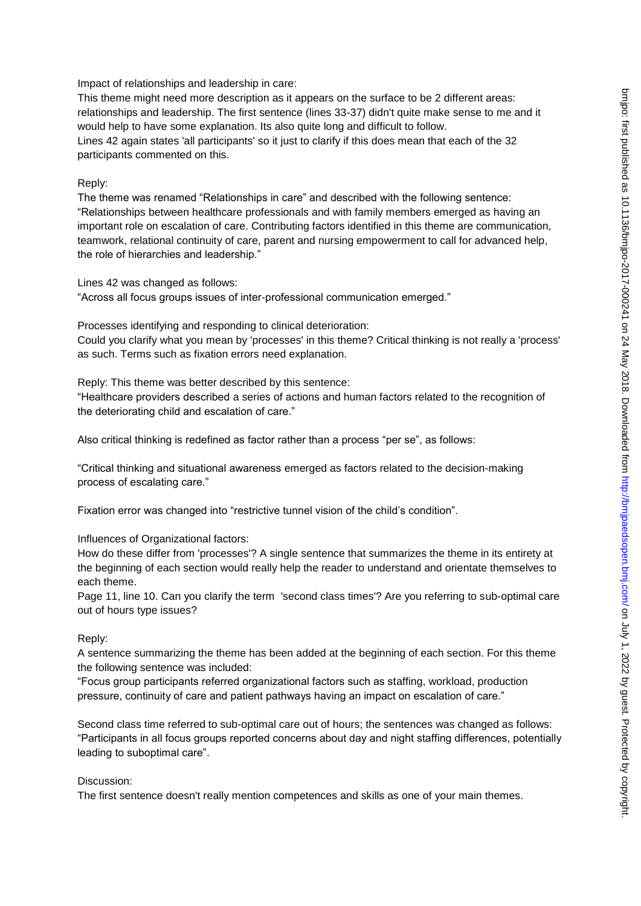Impact of relationships and leadership in care:

This theme might need more description as it appears on the surface to be 2 different areas: relationships and leadership. The first sentence (lines 33-37) didn't quite make sense to me and it would help to have some explanation. Its also quite long and difficult to follow. Lines 42 again states 'all participants' so it just to clarify if this does mean that each of the 32 participants commented on this.

#### Reply:

The theme was renamed "Relationships in care" and described with the following sentence: "Relationships between healthcare professionals and with family members emerged as having an important role on escalation of care. Contributing factors identified in this theme are communication, teamwork, relational continuity of care, parent and nursing empowerment to call for advanced help, the role of hierarchies and leadership."

Lines 42 was changed as follows:

"Across all focus groups issues of inter-professional communication emerged."

Processes identifying and responding to clinical deterioration:

Could you clarify what you mean by 'processes' in this theme? Critical thinking is not really a 'process' as such. Terms such as fixation errors need explanation.

Reply: This theme was better described by this sentence:

"Healthcare providers described a series of actions and human factors related to the recognition of the deteriorating child and escalation of care."

Also critical thinking is redefined as factor rather than a process "per se", as follows:

"Critical thinking and situational awareness emerged as factors related to the decision-making process of escalating care."

Fixation error was changed into "restrictive tunnel vision of the child's condition".

Influences of Organizational factors:

How do these differ from 'processes'? A single sentence that summarizes the theme in its entirety at the beginning of each section would really help the reader to understand and orientate themselves to each theme.

Page 11, line 10. Can you clarify the term 'second class times'? Are you referring to sub-optimal care out of hours type issues?

#### Reply:

A sentence summarizing the theme has been added at the beginning of each section. For this theme the following sentence was included:

"Focus group participants referred organizational factors such as staffing, workload, production pressure, continuity of care and patient pathways having an impact on escalation of care."

Second class time referred to sub-optimal care out of hours; the sentences was changed as follows: "Participants in all focus groups reported concerns about day and night staffing differences, potentially leading to suboptimal care".

Discussion:

The first sentence doesn't really mention competences and skills as one of your main themes.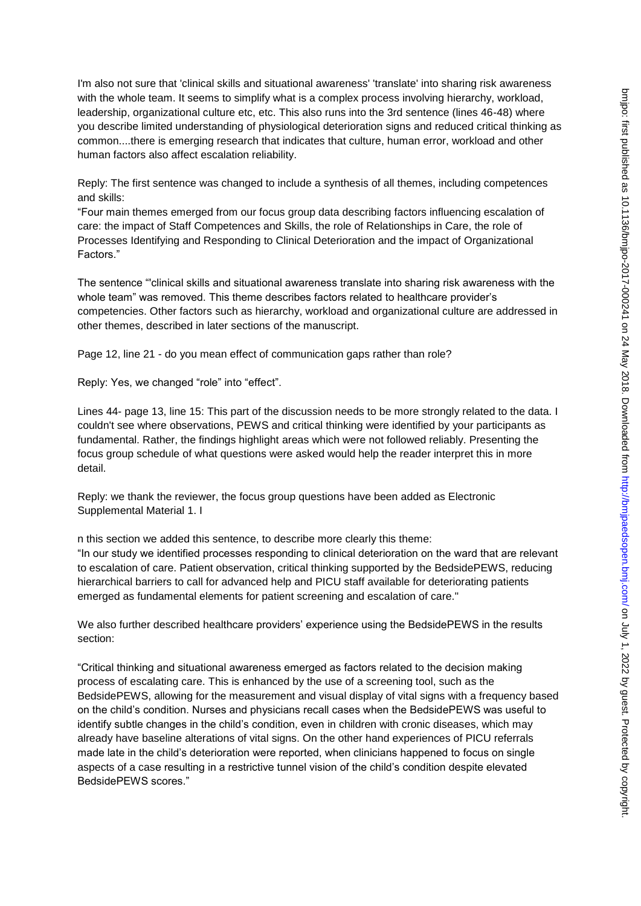I'm also not sure that 'clinical skills and situational awareness' 'translate' into sharing risk awareness with the whole team. It seems to simplify what is a complex process involving hierarchy, workload, leadership, organizational culture etc, etc. This also runs into the 3rd sentence (lines 46-48) where you describe limited understanding of physiological deterioration signs and reduced critical thinking as common....there is emerging research that indicates that culture, human error, workload and other human factors also affect escalation reliability.

Reply: The first sentence was changed to include a synthesis of all themes, including competences and skills:

"Four main themes emerged from our focus group data describing factors influencing escalation of care: the impact of Staff Competences and Skills, the role of Relationships in Care, the role of Processes Identifying and Responding to Clinical Deterioration and the impact of Organizational Factors."

The sentence "'clinical skills and situational awareness translate into sharing risk awareness with the whole team" was removed. This theme describes factors related to healthcare provider's competencies. Other factors such as hierarchy, workload and organizational culture are addressed in other themes, described in later sections of the manuscript.

Page 12, line 21 - do you mean effect of communication gaps rather than role?

Reply: Yes, we changed "role" into "effect".

Lines 44- page 13, line 15: This part of the discussion needs to be more strongly related to the data. I couldn't see where observations, PEWS and critical thinking were identified by your participants as fundamental. Rather, the findings highlight areas which were not followed reliably. Presenting the focus group schedule of what questions were asked would help the reader interpret this in more detail.

Reply: we thank the reviewer, the focus group questions have been added as Electronic Supplemental Material 1. I

n this section we added this sentence, to describe more clearly this theme: "In our study we identified processes responding to clinical deterioration on the ward that are relevant to escalation of care. Patient observation, critical thinking supported by the BedsidePEWS, reducing hierarchical barriers to call for advanced help and PICU staff available for deteriorating patients emerged as fundamental elements for patient screening and escalation of care."

We also further described healthcare providers' experience using the BedsidePEWS in the results section:

"Critical thinking and situational awareness emerged as factors related to the decision making process of escalating care. This is enhanced by the use of a screening tool, such as the BedsidePEWS, allowing for the measurement and visual display of vital signs with a frequency based on the child's condition. Nurses and physicians recall cases when the BedsidePEWS was useful to identify subtle changes in the child's condition, even in children with cronic diseases, which may already have baseline alterations of vital signs. On the other hand experiences of PICU referrals made late in the child's deterioration were reported, when clinicians happened to focus on single aspects of a case resulting in a restrictive tunnel vision of the child's condition despite elevated BedsidePEWS scores."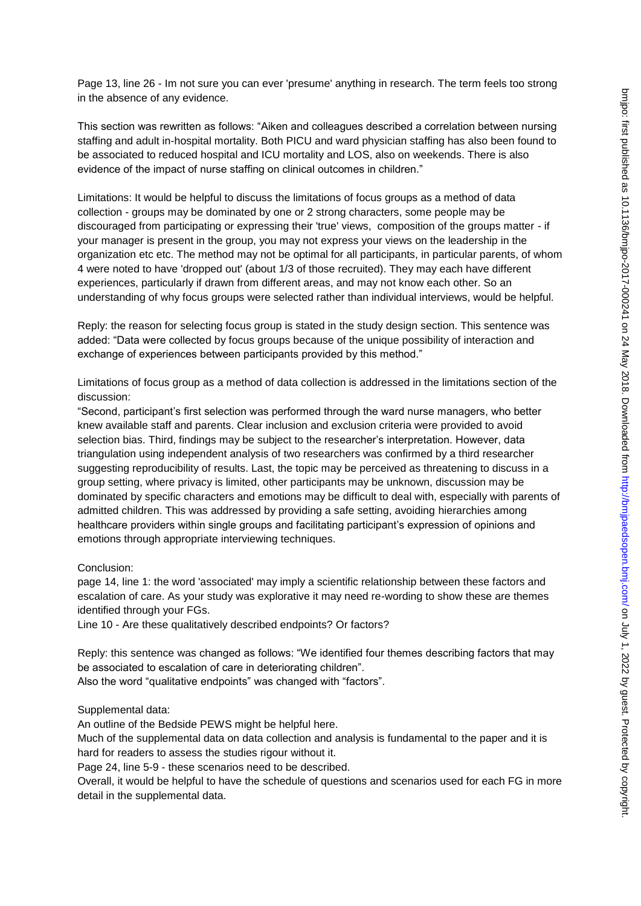Page 13, line 26 - Im not sure you can ever 'presume' anything in research. The term feels too strong in the absence of any evidence.

This section was rewritten as follows: "Aiken and colleagues described a correlation between nursing staffing and adult in-hospital mortality. Both PICU and ward physician staffing has also been found to be associated to reduced hospital and ICU mortality and LOS, also on weekends. There is also evidence of the impact of nurse staffing on clinical outcomes in children."

Limitations: It would be helpful to discuss the limitations of focus groups as a method of data collection - groups may be dominated by one or 2 strong characters, some people may be discouraged from participating or expressing their 'true' views, composition of the groups matter - if your manager is present in the group, you may not express your views on the leadership in the organization etc etc. The method may not be optimal for all participants, in particular parents, of whom 4 were noted to have 'dropped out' (about 1/3 of those recruited). They may each have different experiences, particularly if drawn from different areas, and may not know each other. So an understanding of why focus groups were selected rather than individual interviews, would be helpful.

Reply: the reason for selecting focus group is stated in the study design section. This sentence was added: "Data were collected by focus groups because of the unique possibility of interaction and exchange of experiences between participants provided by this method."

Limitations of focus group as a method of data collection is addressed in the limitations section of the discussion:

"Second, participant's first selection was performed through the ward nurse managers, who better knew available staff and parents. Clear inclusion and exclusion criteria were provided to avoid selection bias. Third, findings may be subject to the researcher's interpretation. However, data triangulation using independent analysis of two researchers was confirmed by a third researcher suggesting reproducibility of results. Last, the topic may be perceived as threatening to discuss in a group setting, where privacy is limited, other participants may be unknown, discussion may be dominated by specific characters and emotions may be difficult to deal with, especially with parents of admitted children. This was addressed by providing a safe setting, avoiding hierarchies among healthcare providers within single groups and facilitating participant's expression of opinions and emotions through appropriate interviewing techniques.

#### Conclusion:

page 14, line 1: the word 'associated' may imply a scientific relationship between these factors and escalation of care. As your study was explorative it may need re-wording to show these are themes identified through your FGs.

Line 10 - Are these qualitatively described endpoints? Or factors?

Reply: this sentence was changed as follows: "We identified four themes describing factors that may be associated to escalation of care in deteriorating children". Also the word "qualitative endpoints" was changed with "factors".

#### Supplemental data:

An outline of the Bedside PEWS might be helpful here.

Much of the supplemental data on data collection and analysis is fundamental to the paper and it is hard for readers to assess the studies rigour without it.

Page 24, line 5-9 - these scenarios need to be described.

Overall, it would be helpful to have the schedule of questions and scenarios used for each FG in more detail in the supplemental data.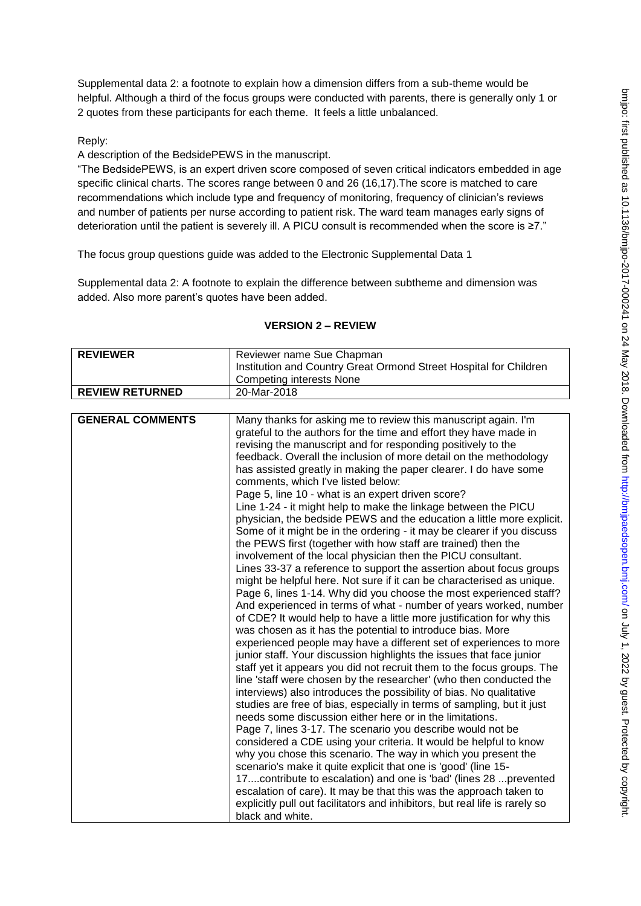Supplemental data 2: a footnote to explain how a dimension differs from a sub-theme would be helpful. Although a third of the focus groups were conducted with parents, there is generally only 1 or 2 quotes from these participants for each theme. It feels a little unbalanced.

## Reply:

A description of the BedsidePEWS in the manuscript.

"The BedsidePEWS, is an expert driven score composed of seven critical indicators embedded in age specific clinical charts. The scores range between 0 and 26 (16,17).The score is matched to care recommendations which include type and frequency of monitoring, frequency of clinician's reviews and number of patients per nurse according to patient risk. The ward team manages early signs of deterioration until the patient is severely ill. A PICU consult is recommended when the score is ≥7."

The focus group questions guide was added to the Electronic Supplemental Data 1

Supplemental data 2: A footnote to explain the difference between subtheme and dimension was added. Also more parent's quotes have been added.

| <b>REVIEWER</b>         | Reviewer name Sue Chapman                                                                                                          |
|-------------------------|------------------------------------------------------------------------------------------------------------------------------------|
|                         | Institution and Country Great Ormond Street Hospital for Children                                                                  |
|                         | <b>Competing interests None</b>                                                                                                    |
| <b>REVIEW RETURNED</b>  | 20-Mar-2018                                                                                                                        |
|                         |                                                                                                                                    |
| <b>GENERAL COMMENTS</b> | Many thanks for asking me to review this manuscript again. I'm                                                                     |
|                         | grateful to the authors for the time and effort they have made in                                                                  |
|                         | revising the manuscript and for responding positively to the                                                                       |
|                         | feedback. Overall the inclusion of more detail on the methodology                                                                  |
|                         | has assisted greatly in making the paper clearer. I do have some<br>comments, which I've listed below:                             |
|                         | Page 5, line 10 - what is an expert driven score?                                                                                  |
|                         | Line 1-24 - it might help to make the linkage between the PICU                                                                     |
|                         | physician, the bedside PEWS and the education a little more explicit.                                                              |
|                         | Some of it might be in the ordering - it may be clearer if you discuss                                                             |
|                         | the PEWS first (together with how staff are trained) then the                                                                      |
|                         | involvement of the local physician then the PICU consultant.                                                                       |
|                         | Lines 33-37 a reference to support the assertion about focus groups                                                                |
|                         | might be helpful here. Not sure if it can be characterised as unique.                                                              |
|                         | Page 6, lines 1-14. Why did you choose the most experienced staff?                                                                 |
|                         | And experienced in terms of what - number of years worked, number                                                                  |
|                         | of CDE? It would help to have a little more justification for why this                                                             |
|                         | was chosen as it has the potential to introduce bias. More                                                                         |
|                         | experienced people may have a different set of experiences to more                                                                 |
|                         | junior staff. Your discussion highlights the issues that face junior                                                               |
|                         | staff yet it appears you did not recruit them to the focus groups. The                                                             |
|                         | line 'staff were chosen by the researcher' (who then conducted the                                                                 |
|                         | interviews) also introduces the possibility of bias. No qualitative                                                                |
|                         | studies are free of bias, especially in terms of sampling, but it just<br>needs some discussion either here or in the limitations. |
|                         |                                                                                                                                    |
|                         | Page 7, lines 3-17. The scenario you describe would not be<br>considered a CDE using your criteria. It would be helpful to know    |
|                         | why you chose this scenario. The way in which you present the                                                                      |
|                         | scenario's make it quite explicit that one is 'good' (line 15-                                                                     |
|                         | 17contribute to escalation) and one is 'bad' (lines 28 prevented                                                                   |
|                         | escalation of care). It may be that this was the approach taken to                                                                 |
|                         | explicitly pull out facilitators and inhibitors, but real life is rarely so                                                        |
|                         | black and white.                                                                                                                   |

#### **VERSION 2 – REVIEW**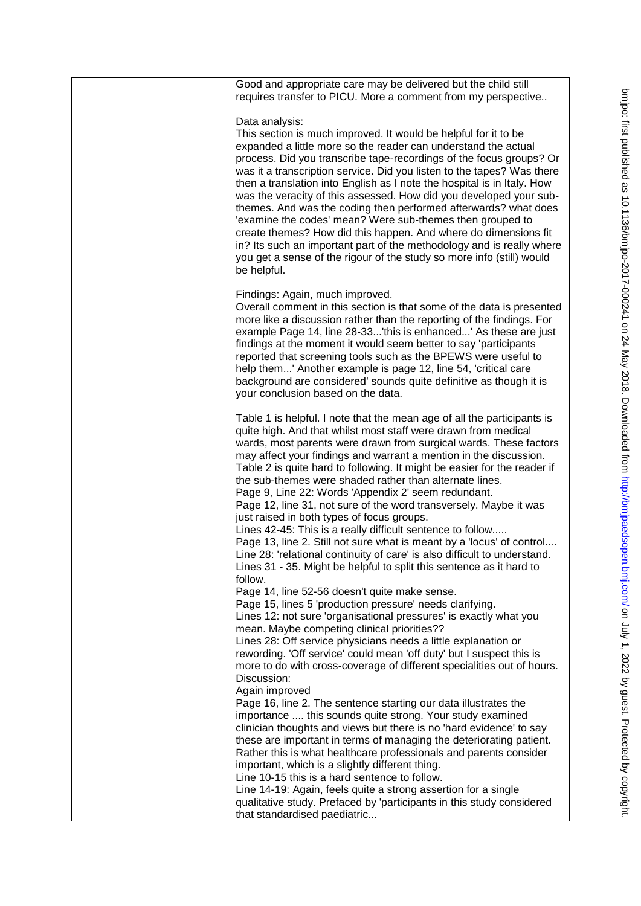| Good and appropriate care may be delivered but the child still<br>requires transfer to PICU. More a comment from my perspective                                                                                                                                                                                                                                                                                                                                                                                                                                                                                                                                                                                                                                                                                                                                                                             |
|-------------------------------------------------------------------------------------------------------------------------------------------------------------------------------------------------------------------------------------------------------------------------------------------------------------------------------------------------------------------------------------------------------------------------------------------------------------------------------------------------------------------------------------------------------------------------------------------------------------------------------------------------------------------------------------------------------------------------------------------------------------------------------------------------------------------------------------------------------------------------------------------------------------|
| Data analysis:<br>This section is much improved. It would be helpful for it to be<br>expanded a little more so the reader can understand the actual<br>process. Did you transcribe tape-recordings of the focus groups? Or<br>was it a transcription service. Did you listen to the tapes? Was there<br>then a translation into English as I note the hospital is in Italy. How<br>was the veracity of this assessed. How did you developed your sub-<br>themes. And was the coding then performed afterwards? what does<br>'examine the codes' mean? Were sub-themes then grouped to<br>create themes? How did this happen. And where do dimensions fit<br>in? Its such an important part of the methodology and is really where<br>you get a sense of the rigour of the study so more info (still) would<br>be helpful.                                                                                   |
| Findings: Again, much improved.<br>Overall comment in this section is that some of the data is presented<br>more like a discussion rather than the reporting of the findings. For<br>example Page 14, line 28-33'this is enhanced' As these are just<br>findings at the moment it would seem better to say 'participants<br>reported that screening tools such as the BPEWS were useful to<br>help them' Another example is page 12, line 54, 'critical care<br>background are considered' sounds quite definitive as though it is<br>your conclusion based on the data.                                                                                                                                                                                                                                                                                                                                    |
| Table 1 is helpful. I note that the mean age of all the participants is<br>quite high. And that whilst most staff were drawn from medical<br>wards, most parents were drawn from surgical wards. These factors<br>may affect your findings and warrant a mention in the discussion.<br>Table 2 is quite hard to following. It might be easier for the reader if<br>the sub-themes were shaded rather than alternate lines.<br>Page 9, Line 22: Words 'Appendix 2' seem redundant.<br>Page 12, line 31, not sure of the word transversely. Maybe it was<br>just raised in both types of focus groups.<br>Lines 42-45: This is a really difficult sentence to follow<br>Page 13, line 2. Still not sure what is meant by a 'locus' of control<br>Line 28: 'relational continuity of care' is also difficult to understand.<br>Lines 31 - 35. Might be helpful to split this sentence as it hard to<br>follow. |
| Page 14, line 52-56 doesn't quite make sense.<br>Page 15, lines 5 'production pressure' needs clarifying.<br>Lines 12: not sure 'organisational pressures' is exactly what you<br>mean. Maybe competing clinical priorities??<br>Lines 28: Off service physicians needs a little explanation or<br>rewording. 'Off service' could mean 'off duty' but I suspect this is<br>more to do with cross-coverage of different specialities out of hours.<br>Discussion:<br>Again improved                                                                                                                                                                                                                                                                                                                                                                                                                          |
| Page 16, line 2. The sentence starting our data illustrates the<br>importance  this sounds quite strong. Your study examined<br>clinician thoughts and views but there is no 'hard evidence' to say<br>these are important in terms of managing the deteriorating patient.<br>Rather this is what healthcare professionals and parents consider<br>important, which is a slightly different thing.<br>Line 10-15 this is a hard sentence to follow.<br>Line 14-19: Again, feels quite a strong assertion for a single<br>qualitative study. Prefaced by 'participants in this study considered<br>that standardised paediatric                                                                                                                                                                                                                                                                              |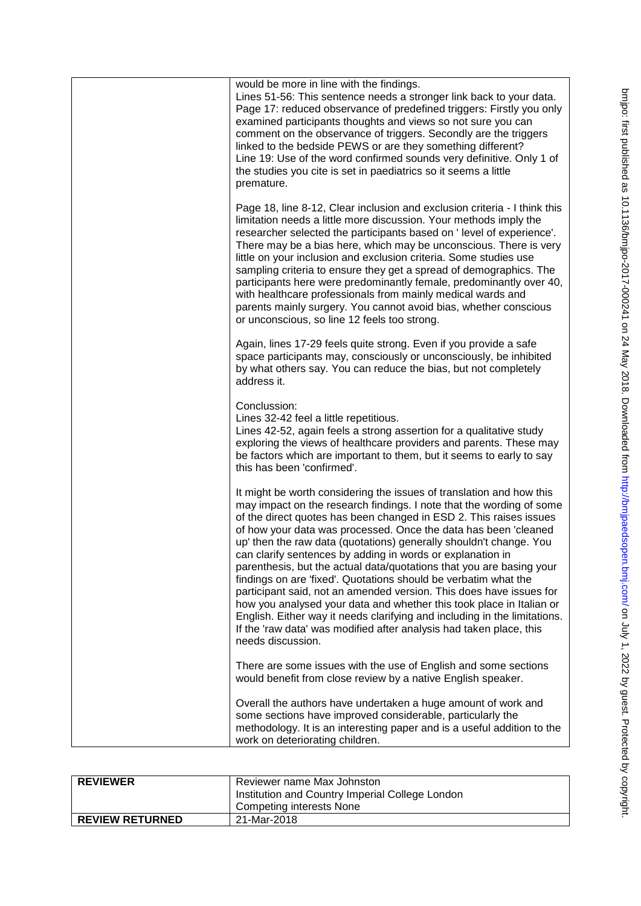| would be more in line with the findings.<br>Lines 51-56: This sentence needs a stronger link back to your data.<br>Page 17: reduced observance of predefined triggers: Firstly you only<br>examined participants thoughts and views so not sure you can<br>comment on the observance of triggers. Secondly are the triggers<br>linked to the bedside PEWS or are they something different?<br>Line 19: Use of the word confirmed sounds very definitive. Only 1 of<br>the studies you cite is set in paediatrics so it seems a little<br>premature.                                                                                                                                                                                                                                                                                                                                          |
|----------------------------------------------------------------------------------------------------------------------------------------------------------------------------------------------------------------------------------------------------------------------------------------------------------------------------------------------------------------------------------------------------------------------------------------------------------------------------------------------------------------------------------------------------------------------------------------------------------------------------------------------------------------------------------------------------------------------------------------------------------------------------------------------------------------------------------------------------------------------------------------------|
| Page 18, line 8-12, Clear inclusion and exclusion criteria - I think this<br>limitation needs a little more discussion. Your methods imply the<br>researcher selected the participants based on 'level of experience'.<br>There may be a bias here, which may be unconscious. There is very<br>little on your inclusion and exclusion criteria. Some studies use<br>sampling criteria to ensure they get a spread of demographics. The<br>participants here were predominantly female, predominantly over 40,<br>with healthcare professionals from mainly medical wards and<br>parents mainly surgery. You cannot avoid bias, whether conscious<br>or unconscious, so line 12 feels too strong.                                                                                                                                                                                             |
| Again, lines 17-29 feels quite strong. Even if you provide a safe<br>space participants may, consciously or unconsciously, be inhibited<br>by what others say. You can reduce the bias, but not completely<br>address it.                                                                                                                                                                                                                                                                                                                                                                                                                                                                                                                                                                                                                                                                    |
| Conclussion:<br>Lines 32-42 feel a little repetitious.<br>Lines 42-52, again feels a strong assertion for a qualitative study<br>exploring the views of healthcare providers and parents. These may<br>be factors which are important to them, but it seems to early to say<br>this has been 'confirmed'.                                                                                                                                                                                                                                                                                                                                                                                                                                                                                                                                                                                    |
| It might be worth considering the issues of translation and how this<br>may impact on the research findings. I note that the wording of some<br>of the direct quotes has been changed in ESD 2. This raises issues<br>of how your data was processed. Once the data has been 'cleaned<br>up' then the raw data (quotations) generally shouldn't change. You<br>can clarify sentences by adding in words or explanation in<br>parenthesis, but the actual data/quotations that you are basing your<br>findings on are 'fixed'. Quotations should be verbatim what the<br>participant said, not an amended version. This does have issues for<br>how you analysed your data and whether this took place in Italian or<br>English. Either way it needs clarifying and including in the limitations.<br>If the 'raw data' was modified after analysis had taken place, this<br>needs discussion. |
| There are some issues with the use of English and some sections<br>would benefit from close review by a native English speaker.                                                                                                                                                                                                                                                                                                                                                                                                                                                                                                                                                                                                                                                                                                                                                              |
| Overall the authors have undertaken a huge amount of work and<br>some sections have improved considerable, particularly the<br>methodology. It is an interesting paper and is a useful addition to the<br>work on deteriorating children.                                                                                                                                                                                                                                                                                                                                                                                                                                                                                                                                                                                                                                                    |

| <b>REVIEWER</b>        | Reviewer name Max Johnston<br>Institution and Country Imperial College London<br>Competing interests None |
|------------------------|-----------------------------------------------------------------------------------------------------------|
| <b>REVIEW RETURNED</b> | 21-Mar-2018                                                                                               |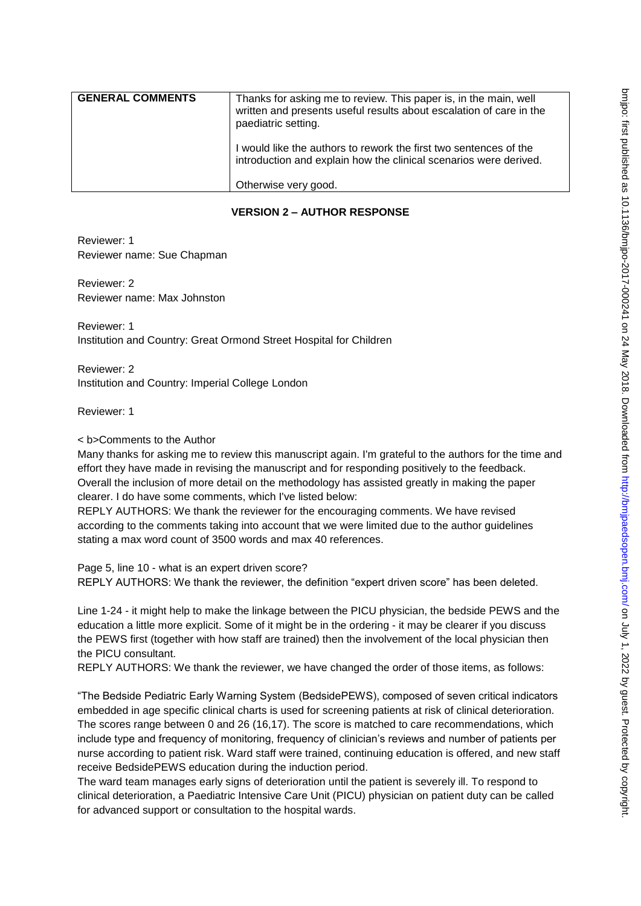| <b>GENERAL COMMENTS</b> | Thanks for asking me to review. This paper is, in the main, well<br>written and presents useful results about escalation of care in the<br>paediatric setting. |
|-------------------------|----------------------------------------------------------------------------------------------------------------------------------------------------------------|
|                         | I would like the authors to rework the first two sentences of the<br>introduction and explain how the clinical scenarios were derived.                         |
|                         | Otherwise very good.                                                                                                                                           |

## **VERSION 2 – AUTHOR RESPONSE**

Reviewer: 1 Reviewer name: Sue Chapman

Reviewer: 2 Reviewer name: Max Johnston

Reviewer: 1 Institution and Country: Great Ormond Street Hospital for Children

Reviewer: 2 Institution and Country: Imperial College London

Reviewer: 1

#### < b>Comments to the Author

Many thanks for asking me to review this manuscript again. I'm grateful to the authors for the time and effort they have made in revising the manuscript and for responding positively to the feedback. Overall the inclusion of more detail on the methodology has assisted greatly in making the paper clearer. I do have some comments, which I've listed below:

REPLY AUTHORS: We thank the reviewer for the encouraging comments. We have revised according to the comments taking into account that we were limited due to the author guidelines stating a max word count of 3500 words and max 40 references.

Page 5, line 10 - what is an expert driven score? REPLY AUTHORS: We thank the reviewer, the definition "expert driven score" has been deleted.

Line 1-24 - it might help to make the linkage between the PICU physician, the bedside PEWS and the education a little more explicit. Some of it might be in the ordering - it may be clearer if you discuss the PEWS first (together with how staff are trained) then the involvement of the local physician then the PICU consultant.

REPLY AUTHORS: We thank the reviewer, we have changed the order of those items, as follows:

"The Bedside Pediatric Early Warning System (BedsidePEWS), composed of seven critical indicators embedded in age specific clinical charts is used for screening patients at risk of clinical deterioration. The scores range between 0 and 26 (16,17). The score is matched to care recommendations, which include type and frequency of monitoring, frequency of clinician's reviews and number of patients per nurse according to patient risk. Ward staff were trained, continuing education is offered, and new staff receive BedsidePEWS education during the induction period.

The ward team manages early signs of deterioration until the patient is severely ill. To respond to clinical deterioration, a Paediatric Intensive Care Unit (PICU) physician on patient duty can be called for advanced support or consultation to the hospital wards.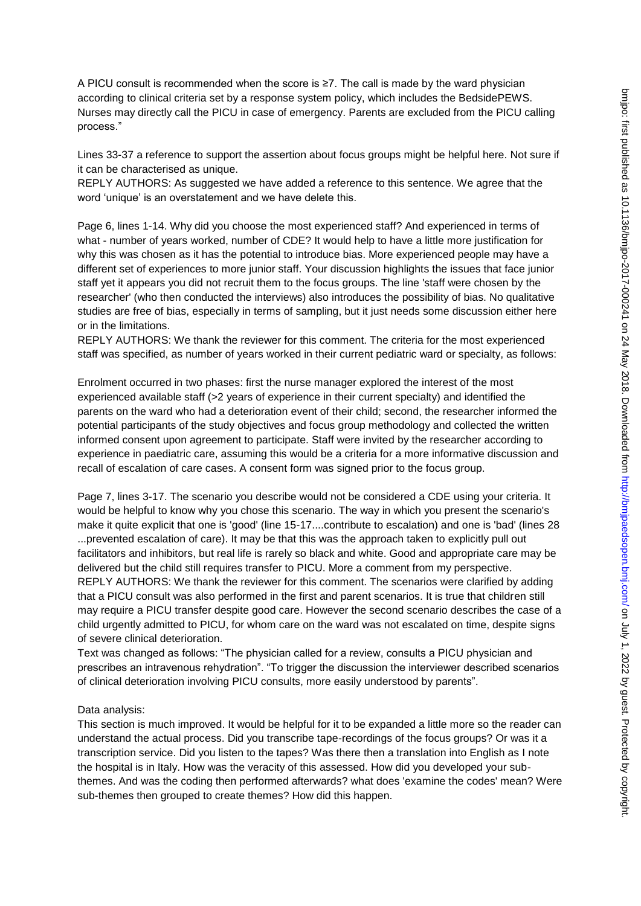A PICU consult is recommended when the score is ≥7. The call is made by the ward physician according to clinical criteria set by a response system policy, which includes the BedsidePEWS. Nurses may directly call the PICU in case of emergency. Parents are excluded from the PICU calling process."

Lines 33-37 a reference to support the assertion about focus groups might be helpful here. Not sure if it can be characterised as unique.

REPLY AUTHORS: As suggested we have added a reference to this sentence. We agree that the word 'unique' is an overstatement and we have delete this.

Page 6, lines 1-14. Why did you choose the most experienced staff? And experienced in terms of what - number of years worked, number of CDE? It would help to have a little more justification for why this was chosen as it has the potential to introduce bias. More experienced people may have a different set of experiences to more junior staff. Your discussion highlights the issues that face junior staff yet it appears you did not recruit them to the focus groups. The line 'staff were chosen by the researcher' (who then conducted the interviews) also introduces the possibility of bias. No qualitative studies are free of bias, especially in terms of sampling, but it just needs some discussion either here or in the limitations.

REPLY AUTHORS: We thank the reviewer for this comment. The criteria for the most experienced staff was specified, as number of years worked in their current pediatric ward or specialty, as follows:

Enrolment occurred in two phases: first the nurse manager explored the interest of the most experienced available staff (>2 years of experience in their current specialty) and identified the parents on the ward who had a deterioration event of their child; second, the researcher informed the potential participants of the study objectives and focus group methodology and collected the written informed consent upon agreement to participate. Staff were invited by the researcher according to experience in paediatric care, assuming this would be a criteria for a more informative discussion and recall of escalation of care cases. A consent form was signed prior to the focus group.

Page 7, lines 3-17. The scenario you describe would not be considered a CDE using your criteria. It would be helpful to know why you chose this scenario. The way in which you present the scenario's make it quite explicit that one is 'good' (line 15-17....contribute to escalation) and one is 'bad' (lines 28 ...prevented escalation of care). It may be that this was the approach taken to explicitly pull out facilitators and inhibitors, but real life is rarely so black and white. Good and appropriate care may be delivered but the child still requires transfer to PICU. More a comment from my perspective. REPLY AUTHORS: We thank the reviewer for this comment. The scenarios were clarified by adding that a PICU consult was also performed in the first and parent scenarios. It is true that children still may require a PICU transfer despite good care. However the second scenario describes the case of a child urgently admitted to PICU, for whom care on the ward was not escalated on time, despite signs of severe clinical deterioration.

Text was changed as follows: "The physician called for a review, consults a PICU physician and prescribes an intravenous rehydration". "To trigger the discussion the interviewer described scenarios of clinical deterioration involving PICU consults, more easily understood by parents".

#### Data analysis:

This section is much improved. It would be helpful for it to be expanded a little more so the reader can understand the actual process. Did you transcribe tape-recordings of the focus groups? Or was it a transcription service. Did you listen to the tapes? Was there then a translation into English as I note the hospital is in Italy. How was the veracity of this assessed. How did you developed your subthemes. And was the coding then performed afterwards? what does 'examine the codes' mean? Were sub-themes then grouped to create themes? How did this happen.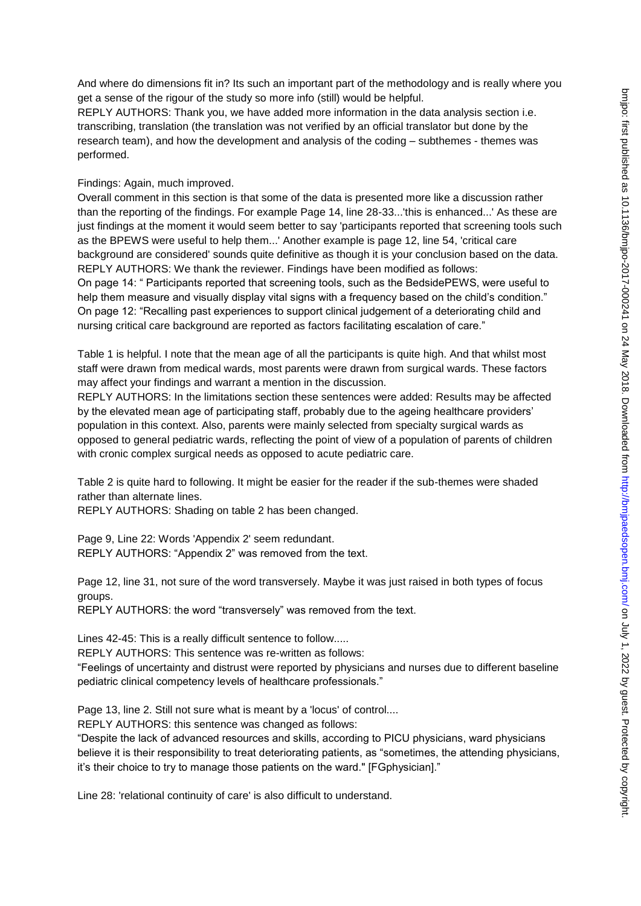And where do dimensions fit in? Its such an important part of the methodology and is really where you get a sense of the rigour of the study so more info (still) would be helpful.

REPLY AUTHORS: Thank you, we have added more information in the data analysis section i.e. transcribing, translation (the translation was not verified by an official translator but done by the research team), and how the development and analysis of the coding – subthemes - themes was performed.

### Findings: Again, much improved.

Overall comment in this section is that some of the data is presented more like a discussion rather than the reporting of the findings. For example Page 14, line 28-33...'this is enhanced...' As these are just findings at the moment it would seem better to say 'participants reported that screening tools such as the BPEWS were useful to help them...' Another example is page 12, line 54, 'critical care background are considered' sounds quite definitive as though it is your conclusion based on the data. REPLY AUTHORS: We thank the reviewer. Findings have been modified as follows: On page 14: " Participants reported that screening tools, such as the BedsidePEWS, were useful to help them measure and visually display vital signs with a frequency based on the child's condition." On page 12: "Recalling past experiences to support clinical judgement of a deteriorating child and nursing critical care background are reported as factors facilitating escalation of care."

Table 1 is helpful. I note that the mean age of all the participants is quite high. And that whilst most staff were drawn from medical wards, most parents were drawn from surgical wards. These factors may affect your findings and warrant a mention in the discussion.

REPLY AUTHORS: In the limitations section these sentences were added: Results may be affected by the elevated mean age of participating staff, probably due to the ageing healthcare providers' population in this context. Also, parents were mainly selected from specialty surgical wards as opposed to general pediatric wards, reflecting the point of view of a population of parents of children with cronic complex surgical needs as opposed to acute pediatric care.

Table 2 is quite hard to following. It might be easier for the reader if the sub-themes were shaded rather than alternate lines.

REPLY AUTHORS: Shading on table 2 has been changed.

Page 9, Line 22: Words 'Appendix 2' seem redundant. REPLY AUTHORS: "Appendix 2" was removed from the text.

Page 12, line 31, not sure of the word transversely. Maybe it was just raised in both types of focus groups.

REPLY AUTHORS: the word "transversely" was removed from the text.

Lines 42-45: This is a really difficult sentence to follow.....

REPLY AUTHORS: This sentence was re-written as follows:

"Feelings of uncertainty and distrust were reported by physicians and nurses due to different baseline pediatric clinical competency levels of healthcare professionals."

Page 13, line 2. Still not sure what is meant by a 'locus' of control....

REPLY AUTHORS: this sentence was changed as follows:

"Despite the lack of advanced resources and skills, according to PICU physicians, ward physicians believe it is their responsibility to treat deteriorating patients, as "sometimes, the attending physicians, it's their choice to try to manage those patients on the ward." [FGphysician]."

Line 28: 'relational continuity of care' is also difficult to understand.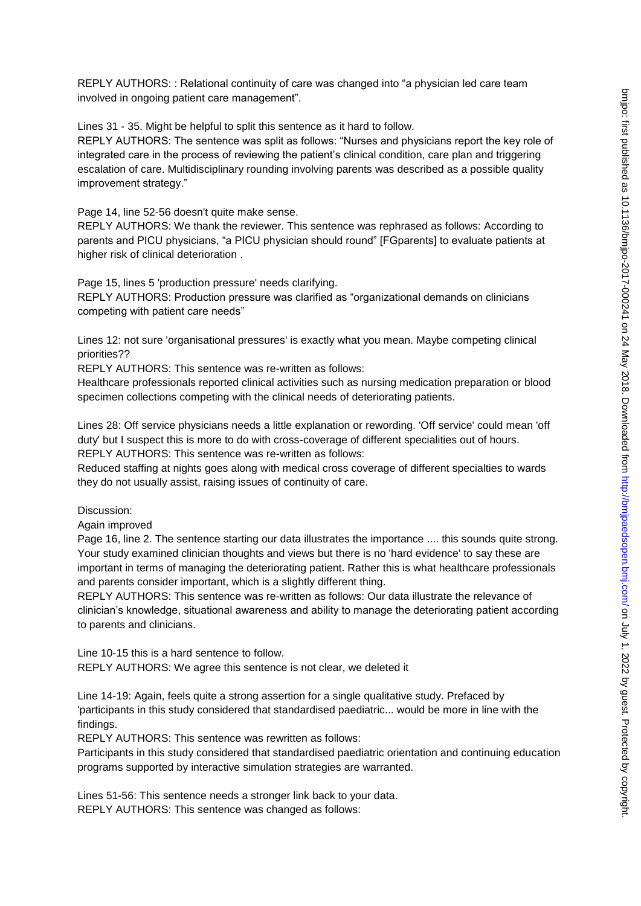REPLY AUTHORS: : Relational continuity of care was changed into "a physician led care team involved in ongoing patient care management".

Lines 31 - 35. Might be helpful to split this sentence as it hard to follow.

REPLY AUTHORS: The sentence was split as follows: "Nurses and physicians report the key role of integrated care in the process of reviewing the patient's clinical condition, care plan and triggering escalation of care. Multidisciplinary rounding involving parents was described as a possible quality improvement strategy."

Page 14, line 52-56 doesn't quite make sense.

REPLY AUTHORS: We thank the reviewer. This sentence was rephrased as follows: According to parents and PICU physicians, "a PICU physician should round" [FGparents] to evaluate patients at higher risk of clinical deterioration .

Page 15, lines 5 'production pressure' needs clarifying.

REPLY AUTHORS: Production pressure was clarified as "organizational demands on clinicians competing with patient care needs"

Lines 12: not sure 'organisational pressures' is exactly what you mean. Maybe competing clinical priorities??

REPLY AUTHORS: This sentence was re-written as follows:

Healthcare professionals reported clinical activities such as nursing medication preparation or blood specimen collections competing with the clinical needs of deteriorating patients.

Lines 28: Off service physicians needs a little explanation or rewording. 'Off service' could mean 'off duty' but I suspect this is more to do with cross-coverage of different specialities out of hours. REPLY AUTHORS: This sentence was re-written as follows:

Reduced staffing at nights goes along with medical cross coverage of different specialties to wards they do not usually assist, raising issues of continuity of care.

Discussion:

Again improved

Page 16, line 2. The sentence starting our data illustrates the importance .... this sounds quite strong. Your study examined clinician thoughts and views but there is no 'hard evidence' to say these are important in terms of managing the deteriorating patient. Rather this is what healthcare professionals and parents consider important, which is a slightly different thing.

REPLY AUTHORS: This sentence was re-written as follows: Our data illustrate the relevance of clinician's knowledge, situational awareness and ability to manage the deteriorating patient according to parents and clinicians.

Line 10-15 this is a hard sentence to follow. REPLY AUTHORS: We agree this sentence is not clear, we deleted it

Line 14-19: Again, feels quite a strong assertion for a single qualitative study. Prefaced by 'participants in this study considered that standardised paediatric... would be more in line with the findings.

REPLY AUTHORS: This sentence was rewritten as follows:

Participants in this study considered that standardised paediatric orientation and continuing education programs supported by interactive simulation strategies are warranted.

Lines 51-56: This sentence needs a stronger link back to your data. REPLY AUTHORS: This sentence was changed as follows: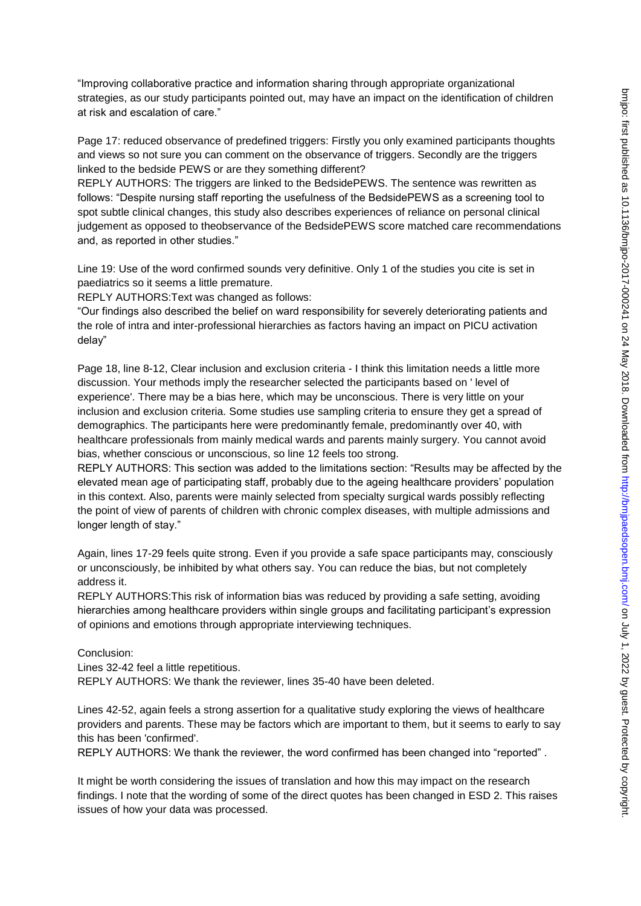"Improving collaborative practice and information sharing through appropriate organizational strategies, as our study participants pointed out, may have an impact on the identification of children at risk and escalation of care."

Page 17: reduced observance of predefined triggers: Firstly you only examined participants thoughts and views so not sure you can comment on the observance of triggers. Secondly are the triggers linked to the bedside PEWS or are they something different?

REPLY AUTHORS: The triggers are linked to the BedsidePEWS. The sentence was rewritten as follows: "Despite nursing staff reporting the usefulness of the BedsidePEWS as a screening tool to spot subtle clinical changes, this study also describes experiences of reliance on personal clinical judgement as opposed to theobservance of the BedsidePEWS score matched care recommendations and, as reported in other studies."

Line 19: Use of the word confirmed sounds very definitive. Only 1 of the studies you cite is set in paediatrics so it seems a little premature.

REPLY AUTHORS:Text was changed as follows:

"Our findings also described the belief on ward responsibility for severely deteriorating patients and the role of intra and inter-professional hierarchies as factors having an impact on PICU activation delay"

Page 18, line 8-12, Clear inclusion and exclusion criteria - I think this limitation needs a little more discussion. Your methods imply the researcher selected the participants based on ' level of experience'. There may be a bias here, which may be unconscious. There is very little on your inclusion and exclusion criteria. Some studies use sampling criteria to ensure they get a spread of demographics. The participants here were predominantly female, predominantly over 40, with healthcare professionals from mainly medical wards and parents mainly surgery. You cannot avoid bias, whether conscious or unconscious, so line 12 feels too strong.

REPLY AUTHORS: This section was added to the limitations section: "Results may be affected by the elevated mean age of participating staff, probably due to the ageing healthcare providers' population in this context. Also, parents were mainly selected from specialty surgical wards possibly reflecting the point of view of parents of children with chronic complex diseases, with multiple admissions and longer length of stay."

Again, lines 17-29 feels quite strong. Even if you provide a safe space participants may, consciously or unconsciously, be inhibited by what others say. You can reduce the bias, but not completely address it.

REPLY AUTHORS:This risk of information bias was reduced by providing a safe setting, avoiding hierarchies among healthcare providers within single groups and facilitating participant's expression of opinions and emotions through appropriate interviewing techniques.

Conclusion:

Lines 32-42 feel a little repetitious.

REPLY AUTHORS: We thank the reviewer, lines 35-40 have been deleted.

Lines 42-52, again feels a strong assertion for a qualitative study exploring the views of healthcare providers and parents. These may be factors which are important to them, but it seems to early to say this has been 'confirmed'.

REPLY AUTHORS: We thank the reviewer, the word confirmed has been changed into "reported" .

It might be worth considering the issues of translation and how this may impact on the research findings. I note that the wording of some of the direct quotes has been changed in ESD 2. This raises issues of how your data was processed.